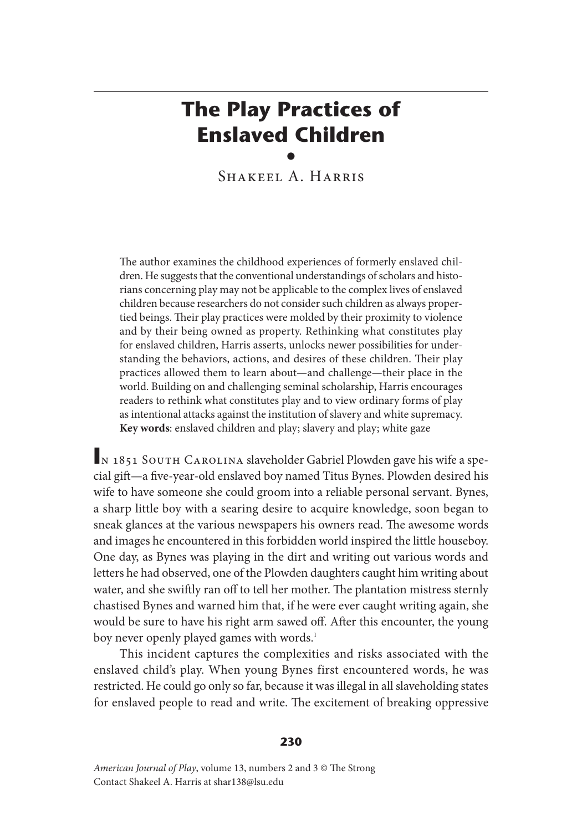# **The Play Practices of Enslaved Children** •

Shakeel A. Harris

The author examines the childhood experiences of formerly enslaved children. He suggests that the conventional understandings of scholars and historians concerning play may not be applicable to the complex lives of enslaved children because researchers do not consider such children as always propertied beings. Their play practices were molded by their proximity to violence and by their being owned as property. Rethinking what constitutes play for enslaved children, Harris asserts, unlocks newer possibilities for understanding the behaviors, actions, and desires of these children. Their play practices allowed them to learn about—and challenge—their place in the world. Building on and challenging seminal scholarship, Harris encourages readers to rethink what constitutes play and to view ordinary forms of play as intentional attacks against the institution of slavery and white supremacy. **Key words**: enslaved children and play; slavery and play; white gaze

**IN 1851 SOUTH CAROLINA slaveholder Gabriel Plowden gave his wife a spe**cial gift—a five-year-old enslaved boy named Titus Bynes. Plowden desired his wife to have someone she could groom into a reliable personal servant. Bynes, a sharp little boy with a searing desire to acquire knowledge, soon began to sneak glances at the various newspapers his owners read. The awesome words and images he encountered in this forbidden world inspired the little houseboy. One day, as Bynes was playing in the dirt and writing out various words and letters he had observed, one of the Plowden daughters caught him writing about water, and she swiftly ran off to tell her mother. The plantation mistress sternly chastised Bynes and warned him that, if he were ever caught writing again, she would be sure to have his right arm sawed off. After this encounter, the young boy never openly played games with words.<sup>1</sup>

This incident captures the complexities and risks associated with the enslaved child's play. When young Bynes first encountered words, he was restricted. He could go only so far, because it was illegal in all slaveholding states for enslaved people to read and write. The excitement of breaking oppressive

#### **230**

*American Journal of Play*, volume 13, numbers 2 and 3 © The Strong Contact Shakeel A. Harris at shar138@lsu.edu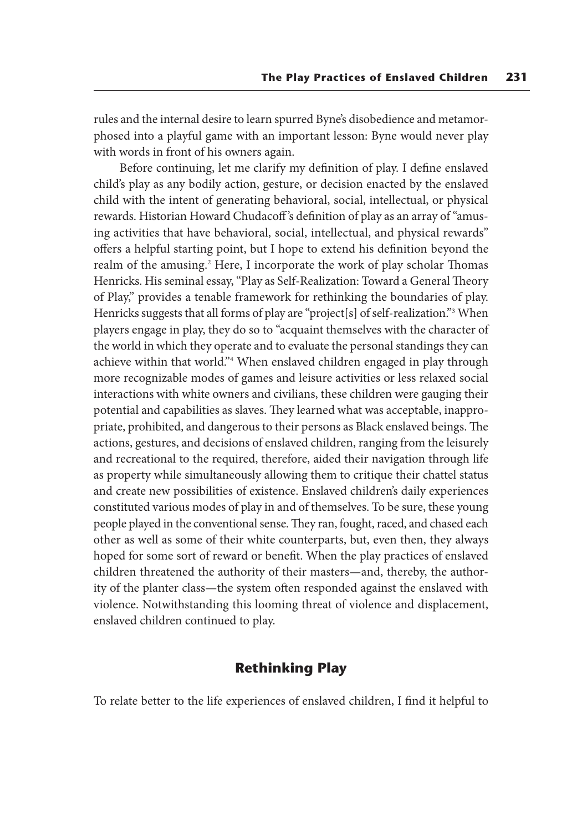rules and the internal desire to learn spurred Byne's disobedience and metamorphosed into a playful game with an important lesson: Byne would never play with words in front of his owners again.

Before continuing, let me clarify my definition of play. I define enslaved child's play as any bodily action, gesture, or decision enacted by the enslaved child with the intent of generating behavioral, social, intellectual, or physical rewards. Historian Howard Chudacoff 's definition of play as an array of "amusing activities that have behavioral, social, intellectual, and physical rewards" offers a helpful starting point, but I hope to extend his definition beyond the realm of the amusing.2 Here, I incorporate the work of play scholar Thomas Henricks. His seminal essay, "Play as Self-Realization: Toward a General Theory of Play," provides a tenable framework for rethinking the boundaries of play. Henricks suggests that all forms of play are "project[s] of self-realization."3 When players engage in play, they do so to "acquaint themselves with the character of the world in which they operate and to evaluate the personal standings they can achieve within that world."4 When enslaved children engaged in play through more recognizable modes of games and leisure activities or less relaxed social interactions with white owners and civilians, these children were gauging their potential and capabilities as slaves. They learned what was acceptable, inappropriate, prohibited, and dangerous to their persons as Black enslaved beings. The actions, gestures, and decisions of enslaved children, ranging from the leisurely and recreational to the required, therefore, aided their navigation through life as property while simultaneously allowing them to critique their chattel status and create new possibilities of existence. Enslaved children's daily experiences constituted various modes of play in and of themselves. To be sure, these young people played in the conventional sense. They ran, fought, raced, and chased each other as well as some of their white counterparts, but, even then, they always hoped for some sort of reward or benefit. When the play practices of enslaved children threatened the authority of their masters—and, thereby, the authority of the planter class—the system often responded against the enslaved with violence. Notwithstanding this looming threat of violence and displacement, enslaved children continued to play.

## **Rethinking Play**

To relate better to the life experiences of enslaved children, I find it helpful to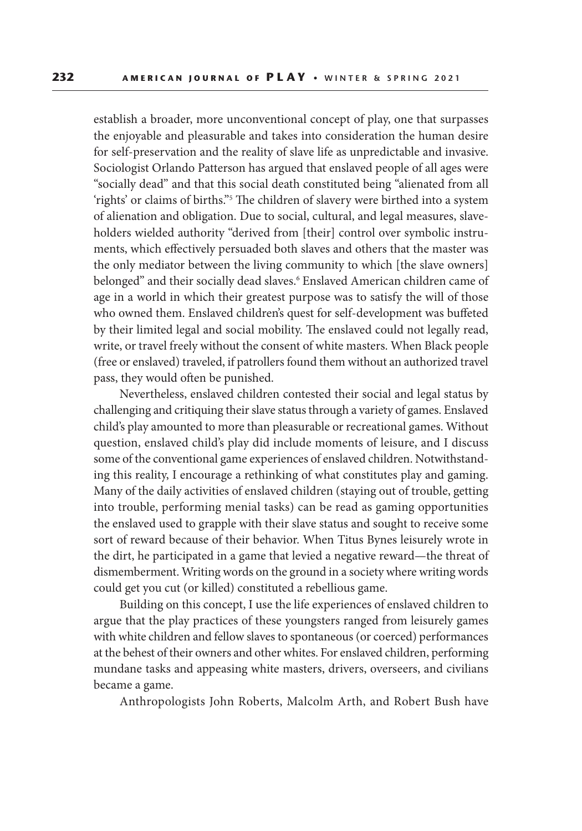establish a broader, more unconventional concept of play, one that surpasses the enjoyable and pleasurable and takes into consideration the human desire for self-preservation and the reality of slave life as unpredictable and invasive. Sociologist Orlando Patterson has argued that enslaved people of all ages were "socially dead" and that this social death constituted being "alienated from all 'rights' or claims of births."5 The children of slavery were birthed into a system of alienation and obligation. Due to social, cultural, and legal measures, slaveholders wielded authority "derived from [their] control over symbolic instruments, which effectively persuaded both slaves and others that the master was the only mediator between the living community to which [the slave owners] belonged" and their socially dead slaves.<sup>6</sup> Enslaved American children came of age in a world in which their greatest purpose was to satisfy the will of those who owned them. Enslaved children's quest for self-development was buffeted by their limited legal and social mobility. The enslaved could not legally read, write, or travel freely without the consent of white masters. When Black people (free or enslaved) traveled, if patrollers found them without an authorized travel pass, they would often be punished.

Nevertheless, enslaved children contested their social and legal status by challenging and critiquing their slave status through a variety of games. Enslaved child's play amounted to more than pleasurable or recreational games. Without question, enslaved child's play did include moments of leisure, and I discuss some of the conventional game experiences of enslaved children. Notwithstanding this reality, I encourage a rethinking of what constitutes play and gaming. Many of the daily activities of enslaved children (staying out of trouble, getting into trouble, performing menial tasks) can be read as gaming opportunities the enslaved used to grapple with their slave status and sought to receive some sort of reward because of their behavior. When Titus Bynes leisurely wrote in the dirt, he participated in a game that levied a negative reward—the threat of dismemberment. Writing words on the ground in a society where writing words could get you cut (or killed) constituted a rebellious game.

Building on this concept, I use the life experiences of enslaved children to argue that the play practices of these youngsters ranged from leisurely games with white children and fellow slaves to spontaneous (or coerced) performances at the behest of their owners and other whites. For enslaved children, performing mundane tasks and appeasing white masters, drivers, overseers, and civilians became a game.

Anthropologists John Roberts, Malcolm Arth, and Robert Bush have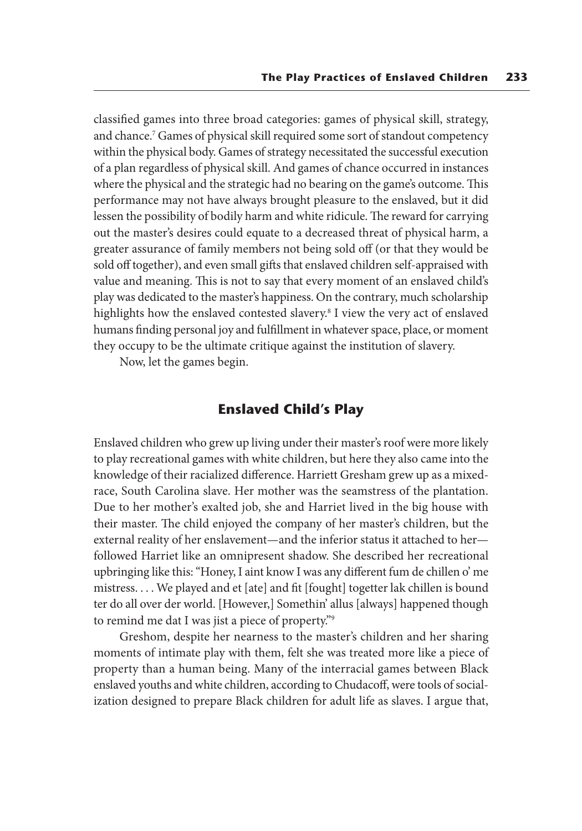classified games into three broad categories: games of physical skill, strategy, and chance.7 Games of physical skill required some sort of standout competency within the physical body. Games of strategy necessitated the successful execution of a plan regardless of physical skill. And games of chance occurred in instances where the physical and the strategic had no bearing on the game's outcome. This performance may not have always brought pleasure to the enslaved, but it did lessen the possibility of bodily harm and white ridicule. The reward for carrying out the master's desires could equate to a decreased threat of physical harm, a greater assurance of family members not being sold off (or that they would be sold off together), and even small gifts that enslaved children self-appraised with value and meaning. This is not to say that every moment of an enslaved child's play was dedicated to the master's happiness. On the contrary, much scholarship highlights how the enslaved contested slavery.8 I view the very act of enslaved humans finding personal joy and fulfillment in whatever space, place, or moment they occupy to be the ultimate critique against the institution of slavery.

Now, let the games begin.

## **Enslaved Child's Play**

Enslaved children who grew up living under their master's roof were more likely to play recreational games with white children, but here they also came into the knowledge of their racialized difference. Harriett Gresham grew up as a mixedrace, South Carolina slave. Her mother was the seamstress of the plantation. Due to her mother's exalted job, she and Harriet lived in the big house with their master. The child enjoyed the company of her master's children, but the external reality of her enslavement—and the inferior status it attached to her followed Harriet like an omnipresent shadow. She described her recreational upbringing like this: "Honey, I aint know I was any different fum de chillen o' me mistress. . . . We played and et [ate] and fit [fought] togetter lak chillen is bound ter do all over der world. [However,] Somethin' allus [always] happened though to remind me dat I was jist a piece of property."9

Greshom, despite her nearness to the master's children and her sharing moments of intimate play with them, felt she was treated more like a piece of property than a human being. Many of the interracial games between Black enslaved youths and white children, according to Chudacoff, were tools of socialization designed to prepare Black children for adult life as slaves. I argue that,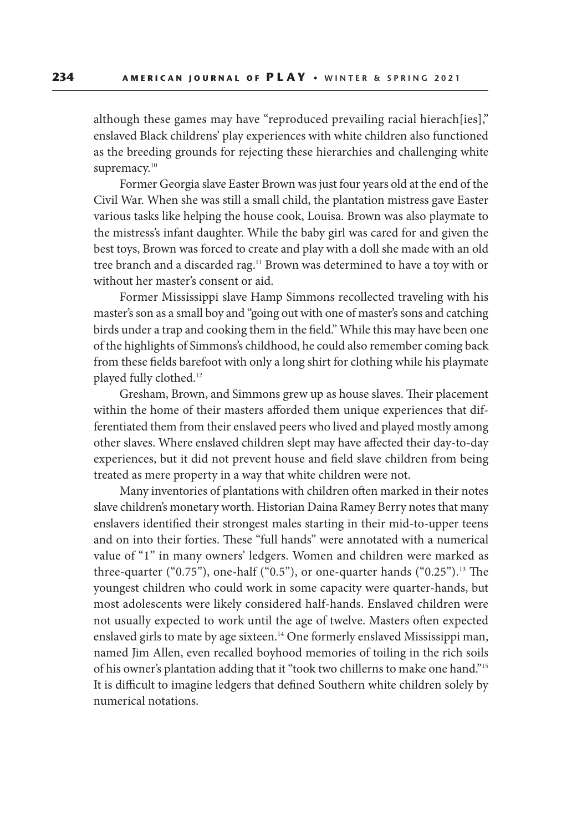although these games may have "reproduced prevailing racial hierach[ies]," enslaved Black childrens' play experiences with white children also functioned as the breeding grounds for rejecting these hierarchies and challenging white supremacy.<sup>10</sup>

Former Georgia slave Easter Brown was just four years old at the end of the Civil War. When she was still a small child, the plantation mistress gave Easter various tasks like helping the house cook, Louisa. Brown was also playmate to the mistress's infant daughter. While the baby girl was cared for and given the best toys, Brown was forced to create and play with a doll she made with an old tree branch and a discarded rag.<sup>11</sup> Brown was determined to have a toy with or without her master's consent or aid.

Former Mississippi slave Hamp Simmons recollected traveling with his master's son as a small boy and "going out with one of master's sons and catching birds under a trap and cooking them in the field." While this may have been one of the highlights of Simmons's childhood, he could also remember coming back from these fields barefoot with only a long shirt for clothing while his playmate played fully clothed.12

Gresham, Brown, and Simmons grew up as house slaves. Their placement within the home of their masters afforded them unique experiences that differentiated them from their enslaved peers who lived and played mostly among other slaves. Where enslaved children slept may have affected their day-to-day experiences, but it did not prevent house and field slave children from being treated as mere property in a way that white children were not.

Many inventories of plantations with children often marked in their notes slave children's monetary worth. Historian Daina Ramey Berry notes that many enslavers identified their strongest males starting in their mid-to-upper teens and on into their forties. These "full hands" were annotated with a numerical value of "1" in many owners' ledgers. Women and children were marked as three-quarter (" $0.75$ "), one-half (" $0.5$ "), or one-quarter hands (" $0.25$ ").<sup>13</sup> The youngest children who could work in some capacity were quarter-hands, but most adolescents were likely considered half-hands. Enslaved children were not usually expected to work until the age of twelve. Masters often expected enslaved girls to mate by age sixteen.<sup>14</sup> One formerly enslaved Mississippi man, named Jim Allen, even recalled boyhood memories of toiling in the rich soils of his owner's plantation adding that it "took two chillerns to make one hand."15 It is difficult to imagine ledgers that defined Southern white children solely by numerical notations.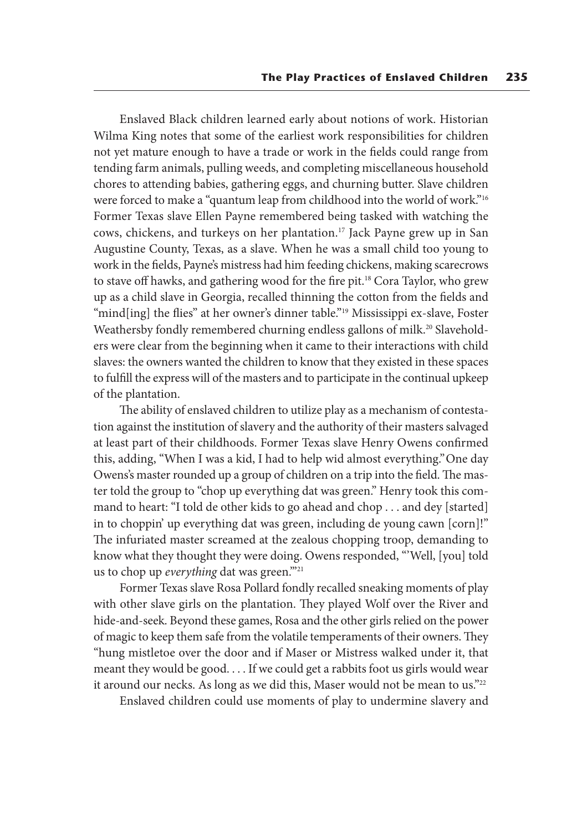Enslaved Black children learned early about notions of work. Historian Wilma King notes that some of the earliest work responsibilities for children not yet mature enough to have a trade or work in the fields could range from tending farm animals, pulling weeds, and completing miscellaneous household chores to attending babies, gathering eggs, and churning butter. Slave children were forced to make a "quantum leap from childhood into the world of work."16 Former Texas slave Ellen Payne remembered being tasked with watching the cows, chickens, and turkeys on her plantation.<sup>17</sup> Jack Payne grew up in San Augustine County, Texas, as a slave. When he was a small child too young to work in the fields, Payne's mistress had him feeding chickens, making scarecrows to stave off hawks, and gathering wood for the fire pit.<sup>18</sup> Cora Taylor, who grew up as a child slave in Georgia, recalled thinning the cotton from the fields and "mind[ing] the flies" at her owner's dinner table."<sup>19</sup> Mississippi ex-slave, Foster Weathersby fondly remembered churning endless gallons of milk.<sup>20</sup> Slaveholders were clear from the beginning when it came to their interactions with child slaves: the owners wanted the children to know that they existed in these spaces to fulfill the express will of the masters and to participate in the continual upkeep of the plantation.

The ability of enslaved children to utilize play as a mechanism of contestation against the institution of slavery and the authority of their masters salvaged at least part of their childhoods. Former Texas slave Henry Owens confirmed this, adding, "When I was a kid, I had to help wid almost everything." One day Owens's master rounded up a group of children on a trip into the field. The master told the group to "chop up everything dat was green." Henry took this command to heart: "I told de other kids to go ahead and chop . . . and dey [started] in to choppin' up everything dat was green, including de young cawn [corn]!" The infuriated master screamed at the zealous chopping troop, demanding to know what they thought they were doing. Owens responded, "'Well, [you] told us to chop up *everything* dat was green."<sup>21</sup>

Former Texas slave Rosa Pollard fondly recalled sneaking moments of play with other slave girls on the plantation. They played Wolf over the River and hide-and-seek. Beyond these games, Rosa and the other girls relied on the power of magic to keep them safe from the volatile temperaments of their owners. They "hung mistletoe over the door and if Maser or Mistress walked under it, that meant they would be good. . . . If we could get a rabbits foot us girls would wear it around our necks. As long as we did this, Maser would not be mean to us."<sup>22</sup>

Enslaved children could use moments of play to undermine slavery and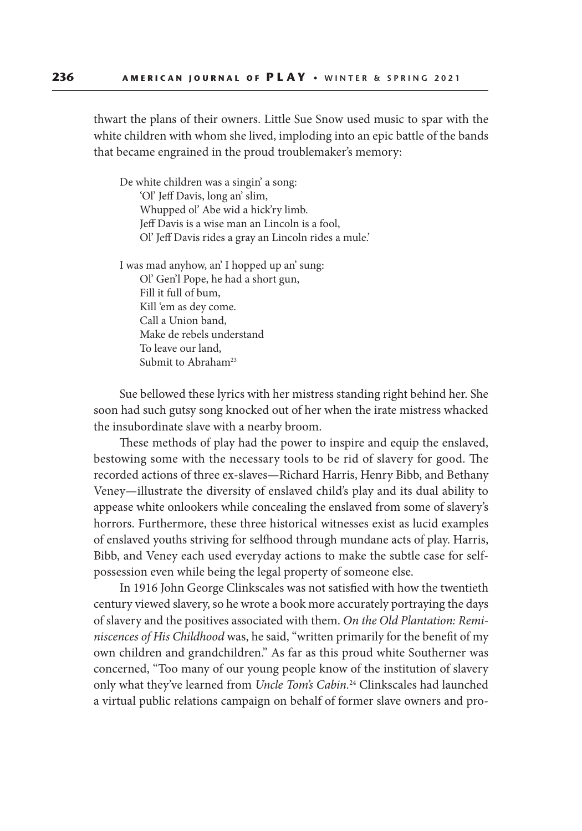thwart the plans of their owners. Little Sue Snow used music to spar with the white children with whom she lived, imploding into an epic battle of the bands that became engrained in the proud troublemaker's memory:

De white children was a singin' a song: 'Ol' Jeff Davis, long an' slim, Whupped ol' Abe wid a hick'ry limb. Jeff Davis is a wise man an Lincoln is a fool, Ol' Jeff Davis rides a gray an Lincoln rides a mule.'

I was mad anyhow, an' I hopped up an' sung: Ol' Gen'l Pope, he had a short gun, Fill it full of bum, Kill 'em as dey come. Call a Union band, Make de rebels understand To leave our land, Submit to Abraham<sup>23</sup>

Sue bellowed these lyrics with her mistress standing right behind her. She soon had such gutsy song knocked out of her when the irate mistress whacked the insubordinate slave with a nearby broom.

These methods of play had the power to inspire and equip the enslaved, bestowing some with the necessary tools to be rid of slavery for good. The recorded actions of three ex-slaves—Richard Harris, Henry Bibb, and Bethany Veney—illustrate the diversity of enslaved child's play and its dual ability to appease white onlookers while concealing the enslaved from some of slavery's horrors. Furthermore, these three historical witnesses exist as lucid examples of enslaved youths striving for selfhood through mundane acts of play. Harris, Bibb, and Veney each used everyday actions to make the subtle case for selfpossession even while being the legal property of someone else.

In 1916 John George Clinkscales was not satisfied with how the twentieth century viewed slavery, so he wrote a book more accurately portraying the days of slavery and the positives associated with them. *On the Old Plantation: Reminiscences of His Childhood* was, he said, "written primarily for the benefit of my own children and grandchildren." As far as this proud white Southerner was concerned, "Too many of our young people know of the institution of slavery only what they've learned from *Uncle Tom's Cabin.*24 Clinkscales had launched a virtual public relations campaign on behalf of former slave owners and pro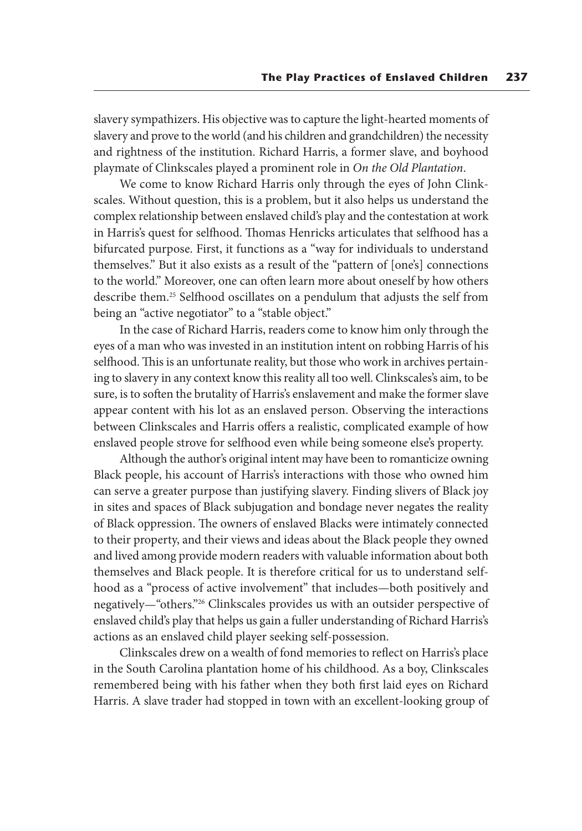slavery sympathizers. His objective was to capture the light-hearted moments of slavery and prove to the world (and his children and grandchildren) the necessity and rightness of the institution. Richard Harris, a former slave, and boyhood playmate of Clinkscales played a prominent role in *On the Old Plantation*.

We come to know Richard Harris only through the eyes of John Clinkscales. Without question, this is a problem, but it also helps us understand the complex relationship between enslaved child's play and the contestation at work in Harris's quest for selfhood. Thomas Henricks articulates that selfhood has a bifurcated purpose. First, it functions as a "way for individuals to understand themselves." But it also exists as a result of the "pattern of [one's] connections to the world." Moreover, one can often learn more about oneself by how others describe them.25 Selfhood oscillates on a pendulum that adjusts the self from being an "active negotiator" to a "stable object."

In the case of Richard Harris, readers come to know him only through the eyes of a man who was invested in an institution intent on robbing Harris of his selfhood. This is an unfortunate reality, but those who work in archives pertaining to slavery in any context know this reality all too well. Clinkscales's aim, to be sure, is to soften the brutality of Harris's enslavement and make the former slave appear content with his lot as an enslaved person. Observing the interactions between Clinkscales and Harris offers a realistic, complicated example of how enslaved people strove for selfhood even while being someone else's property.

Although the author's original intent may have been to romanticize owning Black people, his account of Harris's interactions with those who owned him can serve a greater purpose than justifying slavery. Finding slivers of Black joy in sites and spaces of Black subjugation and bondage never negates the reality of Black oppression. The owners of enslaved Blacks were intimately connected to their property, and their views and ideas about the Black people they owned and lived among provide modern readers with valuable information about both themselves and Black people. It is therefore critical for us to understand selfhood as a "process of active involvement" that includes—both positively and negatively—"others."26 Clinkscales provides us with an outsider perspective of enslaved child's play that helps us gain a fuller understanding of Richard Harris's actions as an enslaved child player seeking self-possession.

Clinkscales drew on a wealth of fond memories to reflect on Harris's place in the South Carolina plantation home of his childhood. As a boy, Clinkscales remembered being with his father when they both first laid eyes on Richard Harris. A slave trader had stopped in town with an excellent-looking group of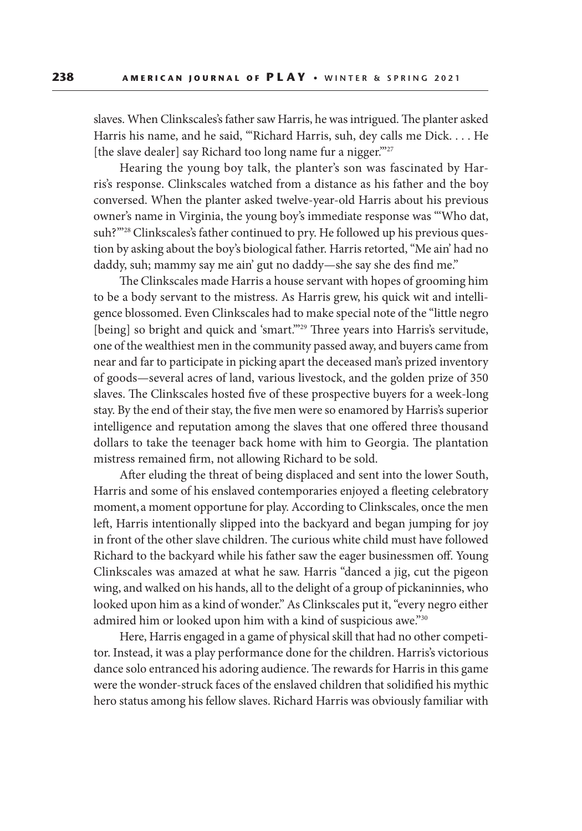slaves. When Clinkscales's father saw Harris, he was intrigued. The planter asked Harris his name, and he said, "'Richard Harris, suh, dey calls me Dick. . . . He [the slave dealer] say Richard too long name fur a nigger."<sup>27</sup>

Hearing the young boy talk, the planter's son was fascinated by Harris's response. Clinkscales watched from a distance as his father and the boy conversed. When the planter asked twelve-year-old Harris about his previous owner's name in Virginia, the young boy's immediate response was "'Who dat, suh?"<sup>28</sup> Clinkscales's father continued to pry. He followed up his previous question by asking about the boy's biological father. Harris retorted, "Me ain' had no daddy, suh; mammy say me ain' gut no daddy—she say she des find me."

The Clinkscales made Harris a house servant with hopes of grooming him to be a body servant to the mistress. As Harris grew, his quick wit and intelligence blossomed. Even Clinkscales had to make special note of the "little negro [being] so bright and quick and 'smart."<sup>29</sup> Three years into Harris's servitude, one of the wealthiest men in the community passed away, and buyers came from near and far to participate in picking apart the deceased man's prized inventory of goods—several acres of land, various livestock, and the golden prize of 350 slaves. The Clinkscales hosted five of these prospective buyers for a week-long stay. By the end of their stay, the five men were so enamored by Harris's superior intelligence and reputation among the slaves that one offered three thousand dollars to take the teenager back home with him to Georgia. The plantation mistress remained firm, not allowing Richard to be sold.

After eluding the threat of being displaced and sent into the lower South, Harris and some of his enslaved contemporaries enjoyed a fleeting celebratory moment, a moment opportune for play. According to Clinkscales, once the men left, Harris intentionally slipped into the backyard and began jumping for joy in front of the other slave children. The curious white child must have followed Richard to the backyard while his father saw the eager businessmen off. Young Clinkscales was amazed at what he saw. Harris "danced a jig, cut the pigeon wing, and walked on his hands, all to the delight of a group of pickaninnies, who looked upon him as a kind of wonder." As Clinkscales put it, "every negro either admired him or looked upon him with a kind of suspicious awe."30

Here, Harris engaged in a game of physical skill that had no other competitor. Instead, it was a play performance done for the children. Harris's victorious dance solo entranced his adoring audience. The rewards for Harris in this game were the wonder-struck faces of the enslaved children that solidified his mythic hero status among his fellow slaves. Richard Harris was obviously familiar with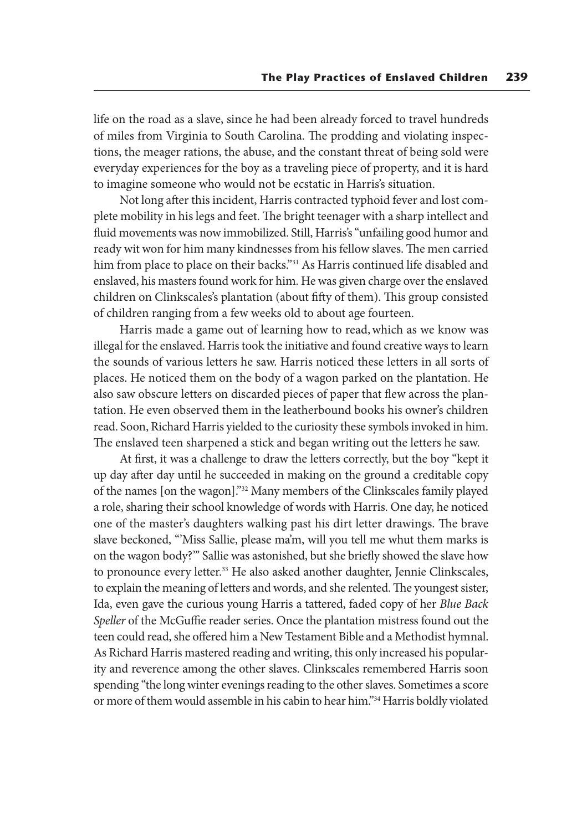life on the road as a slave, since he had been already forced to travel hundreds of miles from Virginia to South Carolina. The prodding and violating inspections, the meager rations, the abuse, and the constant threat of being sold were everyday experiences for the boy as a traveling piece of property, and it is hard to imagine someone who would not be ecstatic in Harris's situation.

Not long after this incident, Harris contracted typhoid fever and lost complete mobility in his legs and feet. The bright teenager with a sharp intellect and fluid movements was now immobilized. Still, Harris's "unfailing good humor and ready wit won for him many kindnesses from his fellow slaves. The men carried him from place to place on their backs."31 As Harris continued life disabled and enslaved, his masters found work for him. He was given charge over the enslaved children on Clinkscales's plantation (about fifty of them). This group consisted of children ranging from a few weeks old to about age fourteen.

Harris made a game out of learning how to read, which as we know was illegal for the enslaved. Harris took the initiative and found creative ways to learn the sounds of various letters he saw. Harris noticed these letters in all sorts of places. He noticed them on the body of a wagon parked on the plantation. He also saw obscure letters on discarded pieces of paper that flew across the plantation. He even observed them in the leatherbound books his owner's children read. Soon, Richard Harris yielded to the curiosity these symbols invoked in him. The enslaved teen sharpened a stick and began writing out the letters he saw.

At first, it was a challenge to draw the letters correctly, but the boy "kept it up day after day until he succeeded in making on the ground a creditable copy of the names [on the wagon]."32 Many members of the Clinkscales family played a role, sharing their school knowledge of words with Harris. One day, he noticed one of the master's daughters walking past his dirt letter drawings. The brave slave beckoned, "'Miss Sallie, please ma'm, will you tell me whut them marks is on the wagon body?"' Sallie was astonished, but she briefly showed the slave how to pronounce every letter.<sup>33</sup> He also asked another daughter, Jennie Clinkscales, to explain the meaning of letters and words, and she relented. The youngest sister, Ida, even gave the curious young Harris a tattered, faded copy of her *Blue Back Speller* of the McGuffie reader series. Once the plantation mistress found out the teen could read, she offered him a New Testament Bible and a Methodist hymnal. As Richard Harris mastered reading and writing, this only increased his popularity and reverence among the other slaves. Clinkscales remembered Harris soon spending "the long winter evenings reading to the other slaves. Sometimes a score or more of them would assemble in his cabin to hear him."34 Harris boldly violated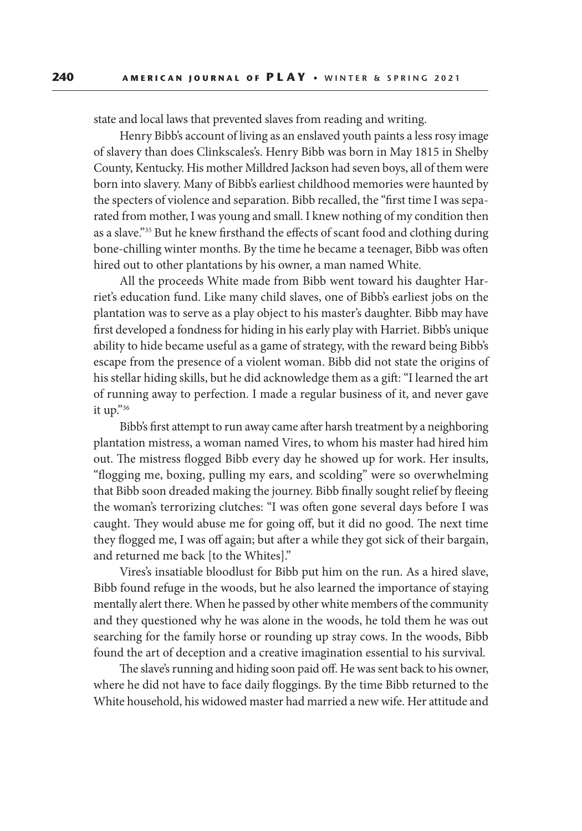state and local laws that prevented slaves from reading and writing.

Henry Bibb's account of living as an enslaved youth paints a less rosy image of slavery than does Clinkscales's. Henry Bibb was born in May 1815 in Shelby County, Kentucky. His mother Milldred Jackson had seven boys, all of them were born into slavery. Many of Bibb's earliest childhood memories were haunted by the specters of violence and separation. Bibb recalled, the "first time I was separated from mother, I was young and small. I knew nothing of my condition then as a slave."35 But he knew firsthand the effects of scant food and clothing during bone-chilling winter months. By the time he became a teenager, Bibb was often hired out to other plantations by his owner, a man named White.

All the proceeds White made from Bibb went toward his daughter Harriet's education fund. Like many child slaves, one of Bibb's earliest jobs on the plantation was to serve as a play object to his master's daughter. Bibb may have first developed a fondness for hiding in his early play with Harriet. Bibb's unique ability to hide became useful as a game of strategy, with the reward being Bibb's escape from the presence of a violent woman. Bibb did not state the origins of his stellar hiding skills, but he did acknowledge them as a gift: "I learned the art of running away to perfection. I made a regular business of it, and never gave it up."36

Bibb's first attempt to run away came after harsh treatment by a neighboring plantation mistress, a woman named Vires, to whom his master had hired him out. The mistress flogged Bibb every day he showed up for work. Her insults, "flogging me, boxing, pulling my ears, and scolding" were so overwhelming that Bibb soon dreaded making the journey. Bibb finally sought relief by fleeing the woman's terrorizing clutches: "I was often gone several days before I was caught. They would abuse me for going off, but it did no good. The next time they flogged me, I was off again; but after a while they got sick of their bargain, and returned me back [to the Whites]."

Vires's insatiable bloodlust for Bibb put him on the run. As a hired slave, Bibb found refuge in the woods, but he also learned the importance of staying mentally alert there. When he passed by other white members of the community and they questioned why he was alone in the woods, he told them he was out searching for the family horse or rounding up stray cows. In the woods, Bibb found the art of deception and a creative imagination essential to his survival.

The slave's running and hiding soon paid off. He was sent back to his owner, where he did not have to face daily floggings. By the time Bibb returned to the White household, his widowed master had married a new wife. Her attitude and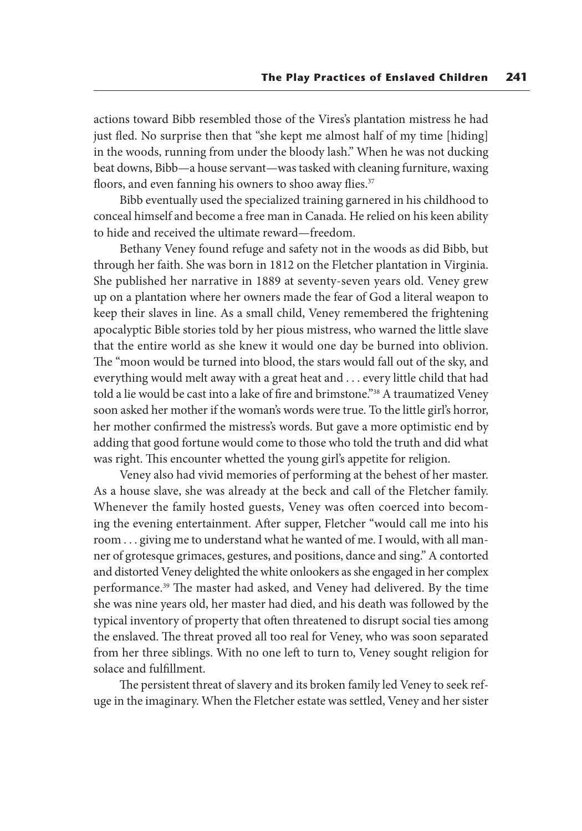actions toward Bibb resembled those of the Vires's plantation mistress he had just fled. No surprise then that "she kept me almost half of my time [hiding] in the woods, running from under the bloody lash." When he was not ducking beat downs, Bibb—a house servant—was tasked with cleaning furniture, waxing floors, and even fanning his owners to shoo away flies.<sup>37</sup>

Bibb eventually used the specialized training garnered in his childhood to conceal himself and become a free man in Canada. He relied on his keen ability to hide and received the ultimate reward—freedom.

Bethany Veney found refuge and safety not in the woods as did Bibb, but through her faith. She was born in 1812 on the Fletcher plantation in Virginia. She published her narrative in 1889 at seventy-seven years old. Veney grew up on a plantation where her owners made the fear of God a literal weapon to keep their slaves in line. As a small child, Veney remembered the frightening apocalyptic Bible stories told by her pious mistress, who warned the little slave that the entire world as she knew it would one day be burned into oblivion. The "moon would be turned into blood, the stars would fall out of the sky, and everything would melt away with a great heat and . . . every little child that had told a lie would be cast into a lake of fire and brimstone."<sup>38</sup> A traumatized Veney soon asked her mother if the woman's words were true. To the little girl's horror, her mother confirmed the mistress's words. But gave a more optimistic end by adding that good fortune would come to those who told the truth and did what was right. This encounter whetted the young girl's appetite for religion.

Veney also had vivid memories of performing at the behest of her master. As a house slave, she was already at the beck and call of the Fletcher family. Whenever the family hosted guests, Veney was often coerced into becoming the evening entertainment. After supper, Fletcher "would call me into his room . . . giving me to understand what he wanted of me. I would, with all manner of grotesque grimaces, gestures, and positions, dance and sing." A contorted and distorted Veney delighted the white onlookers as she engaged in her complex performance.39 The master had asked, and Veney had delivered. By the time she was nine years old, her master had died, and his death was followed by the typical inventory of property that often threatened to disrupt social ties among the enslaved. The threat proved all too real for Veney, who was soon separated from her three siblings. With no one left to turn to, Veney sought religion for solace and fulfillment.

The persistent threat of slavery and its broken family led Veney to seek refuge in the imaginary. When the Fletcher estate was settled, Veney and her sister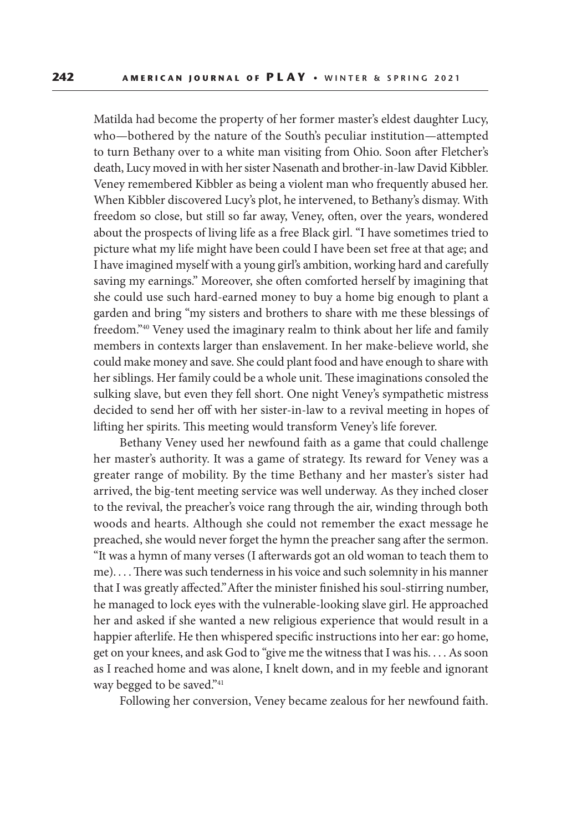Matilda had become the property of her former master's eldest daughter Lucy, who—bothered by the nature of the South's peculiar institution—attempted to turn Bethany over to a white man visiting from Ohio. Soon after Fletcher's death, Lucy moved in with her sister Nasenath and brother-in-law David Kibbler. Veney remembered Kibbler as being a violent man who frequently abused her. When Kibbler discovered Lucy's plot, he intervened, to Bethany's dismay. With freedom so close, but still so far away, Veney, often, over the years, wondered about the prospects of living life as a free Black girl. "I have sometimes tried to picture what my life might have been could I have been set free at that age; and I have imagined myself with a young girl's ambition, working hard and carefully saving my earnings." Moreover, she often comforted herself by imagining that she could use such hard-earned money to buy a home big enough to plant a garden and bring "my sisters and brothers to share with me these blessings of freedom."40 Veney used the imaginary realm to think about her life and family members in contexts larger than enslavement. In her make-believe world, she could make money and save. She could plant food and have enough to share with her siblings. Her family could be a whole unit. These imaginations consoled the sulking slave, but even they fell short. One night Veney's sympathetic mistress decided to send her off with her sister-in-law to a revival meeting in hopes of lifting her spirits. This meeting would transform Veney's life forever.

Bethany Veney used her newfound faith as a game that could challenge her master's authority. It was a game of strategy. Its reward for Veney was a greater range of mobility. By the time Bethany and her master's sister had arrived, the big-tent meeting service was well underway. As they inched closer to the revival, the preacher's voice rang through the air, winding through both woods and hearts. Although she could not remember the exact message he preached, she would never forget the hymn the preacher sang after the sermon. "It was a hymn of many verses (I afterwards got an old woman to teach them to me). . . . There was such tenderness in his voice and such solemnity in his manner that I was greatly affected." After the minister finished his soul-stirring number, he managed to lock eyes with the vulnerable-looking slave girl. He approached her and asked if she wanted a new religious experience that would result in a happier afterlife. He then whispered specific instructions into her ear: go home, get on your knees, and ask God to "give me the witness that I was his. . . . As soon as I reached home and was alone, I knelt down, and in my feeble and ignorant way begged to be saved."<sup>41</sup>

Following her conversion, Veney became zealous for her newfound faith.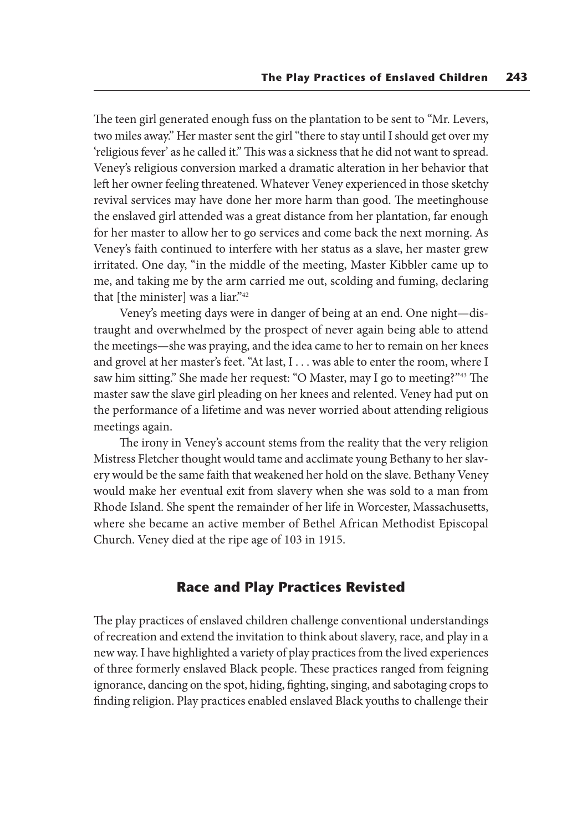The teen girl generated enough fuss on the plantation to be sent to "Mr. Levers, two miles away." Her master sent the girl "there to stay until I should get over my 'religious fever' as he called it." This was a sickness that he did not want to spread. Veney's religious conversion marked a dramatic alteration in her behavior that left her owner feeling threatened. Whatever Veney experienced in those sketchy revival services may have done her more harm than good. The meetinghouse the enslaved girl attended was a great distance from her plantation, far enough for her master to allow her to go services and come back the next morning. As Veney's faith continued to interfere with her status as a slave, her master grew irritated. One day, "in the middle of the meeting, Master Kibbler came up to me, and taking me by the arm carried me out, scolding and fuming, declaring that [the minister] was a liar."<sup>42</sup>

Veney's meeting days were in danger of being at an end. One night—distraught and overwhelmed by the prospect of never again being able to attend the meetings—she was praying, and the idea came to her to remain on her knees and grovel at her master's feet. "At last, I . . . was able to enter the room, where I saw him sitting." She made her request: "O Master, may I go to meeting?"43 The master saw the slave girl pleading on her knees and relented. Veney had put on the performance of a lifetime and was never worried about attending religious meetings again.

The irony in Veney's account stems from the reality that the very religion Mistress Fletcher thought would tame and acclimate young Bethany to her slavery would be the same faith that weakened her hold on the slave. Bethany Veney would make her eventual exit from slavery when she was sold to a man from Rhode Island. She spent the remainder of her life in Worcester, Massachusetts, where she became an active member of Bethel African Methodist Episcopal Church. Veney died at the ripe age of 103 in 1915.

### **Race and Play Practices Revisted**

The play practices of enslaved children challenge conventional understandings of recreation and extend the invitation to think about slavery, race, and play in a new way. I have highlighted a variety of play practices from the lived experiences of three formerly enslaved Black people. These practices ranged from feigning ignorance, dancing on the spot, hiding, fighting, singing, and sabotaging crops to finding religion. Play practices enabled enslaved Black youths to challenge their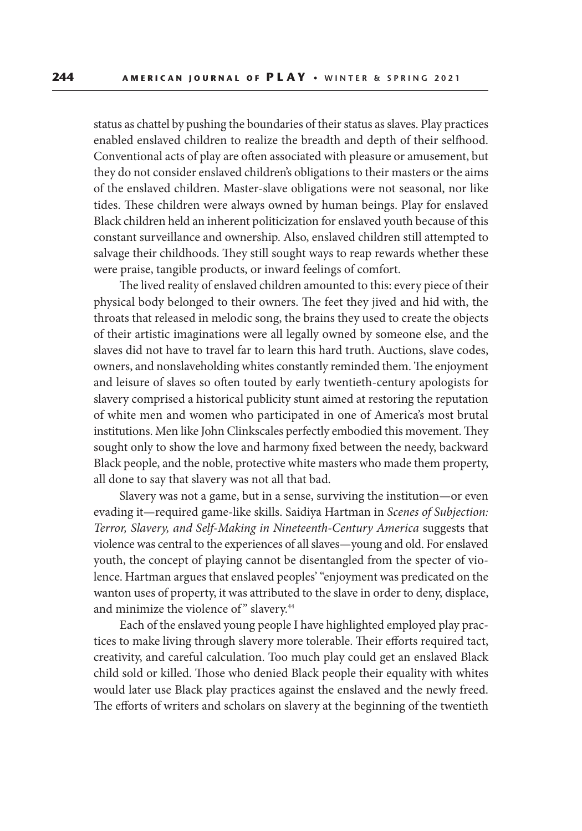status as chattel by pushing the boundaries of their status as slaves. Play practices enabled enslaved children to realize the breadth and depth of their selfhood. Conventional acts of play are often associated with pleasure or amusement, but they do not consider enslaved children's obligations to their masters or the aims of the enslaved children. Master-slave obligations were not seasonal, nor like tides. These children were always owned by human beings. Play for enslaved Black children held an inherent politicization for enslaved youth because of this constant surveillance and ownership. Also, enslaved children still attempted to salvage their childhoods. They still sought ways to reap rewards whether these were praise, tangible products, or inward feelings of comfort.

The lived reality of enslaved children amounted to this: every piece of their physical body belonged to their owners. The feet they jived and hid with, the throats that released in melodic song, the brains they used to create the objects of their artistic imaginations were all legally owned by someone else, and the slaves did not have to travel far to learn this hard truth. Auctions, slave codes, owners, and nonslaveholding whites constantly reminded them. The enjoyment and leisure of slaves so often touted by early twentieth-century apologists for slavery comprised a historical publicity stunt aimed at restoring the reputation of white men and women who participated in one of America's most brutal institutions. Men like John Clinkscales perfectly embodied this movement. They sought only to show the love and harmony fixed between the needy, backward Black people, and the noble, protective white masters who made them property, all done to say that slavery was not all that bad.

Slavery was not a game, but in a sense, surviving the institution—or even evading it—required game-like skills. Saidiya Hartman in *Scenes of Subjection: Terror, Slavery, and Self-Making in Nineteenth-Century America* suggests that violence was central to the experiences of all slaves—young and old. For enslaved youth, the concept of playing cannot be disentangled from the specter of violence. Hartman argues that enslaved peoples' "enjoyment was predicated on the wanton uses of property, it was attributed to the slave in order to deny, displace, and minimize the violence of" slavery.<sup>44</sup>

Each of the enslaved young people I have highlighted employed play practices to make living through slavery more tolerable. Their efforts required tact, creativity, and careful calculation. Too much play could get an enslaved Black child sold or killed. Those who denied Black people their equality with whites would later use Black play practices against the enslaved and the newly freed. The efforts of writers and scholars on slavery at the beginning of the twentieth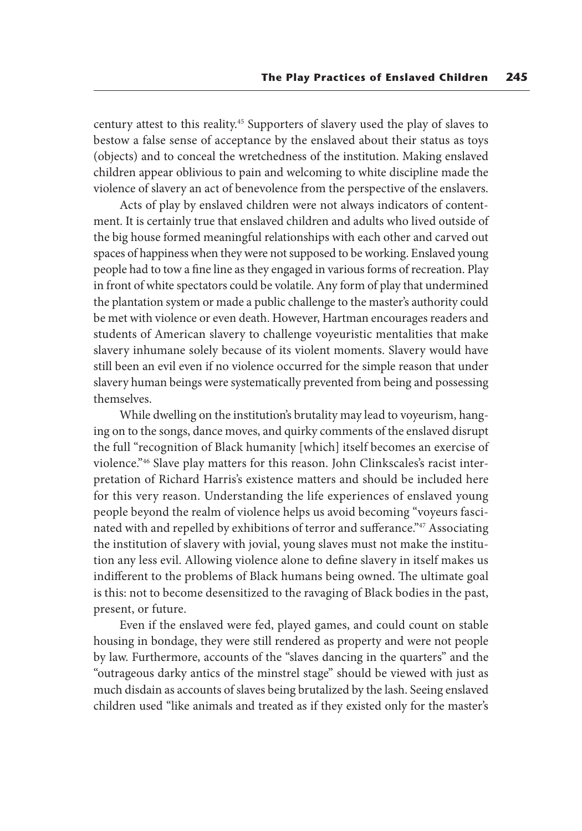century attest to this reality.45 Supporters of slavery used the play of slaves to bestow a false sense of acceptance by the enslaved about their status as toys (objects) and to conceal the wretchedness of the institution. Making enslaved children appear oblivious to pain and welcoming to white discipline made the violence of slavery an act of benevolence from the perspective of the enslavers.

Acts of play by enslaved children were not always indicators of contentment. It is certainly true that enslaved children and adults who lived outside of the big house formed meaningful relationships with each other and carved out spaces of happiness when they were not supposed to be working. Enslaved young people had to tow a fine line as they engaged in various forms of recreation. Play in front of white spectators could be volatile. Any form of play that undermined the plantation system or made a public challenge to the master's authority could be met with violence or even death. However, Hartman encourages readers and students of American slavery to challenge voyeuristic mentalities that make slavery inhumane solely because of its violent moments. Slavery would have still been an evil even if no violence occurred for the simple reason that under slavery human beings were systematically prevented from being and possessing themselves.

While dwelling on the institution's brutality may lead to voyeurism, hanging on to the songs, dance moves, and quirky comments of the enslaved disrupt the full "recognition of Black humanity [which] itself becomes an exercise of violence."46 Slave play matters for this reason. John Clinkscales's racist interpretation of Richard Harris's existence matters and should be included here for this very reason. Understanding the life experiences of enslaved young people beyond the realm of violence helps us avoid becoming "voyeurs fascinated with and repelled by exhibitions of terror and sufferance."47 Associating the institution of slavery with jovial, young slaves must not make the institution any less evil. Allowing violence alone to define slavery in itself makes us indifferent to the problems of Black humans being owned. The ultimate goal is this: not to become desensitized to the ravaging of Black bodies in the past, present, or future.

Even if the enslaved were fed, played games, and could count on stable housing in bondage, they were still rendered as property and were not people by law. Furthermore, accounts of the "slaves dancing in the quarters" and the "outrageous darky antics of the minstrel stage" should be viewed with just as much disdain as accounts of slaves being brutalized by the lash. Seeing enslaved children used "like animals and treated as if they existed only for the master's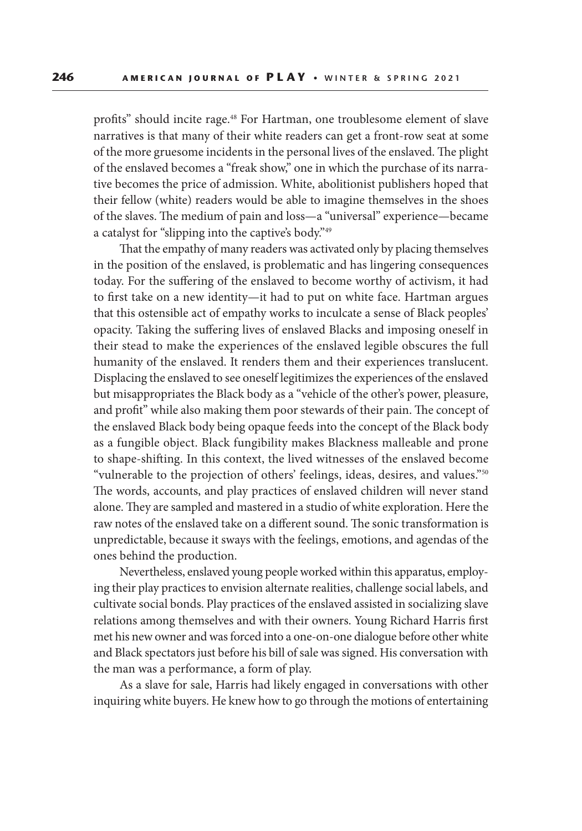profits" should incite rage.<sup>48</sup> For Hartman, one troublesome element of slave narratives is that many of their white readers can get a front-row seat at some of the more gruesome incidents in the personal lives of the enslaved. The plight of the enslaved becomes a "freak show," one in which the purchase of its narrative becomes the price of admission. White, abolitionist publishers hoped that their fellow (white) readers would be able to imagine themselves in the shoes of the slaves. The medium of pain and loss—a "universal" experience—became a catalyst for "slipping into the captive's body."49

That the empathy of many readers was activated only by placing themselves in the position of the enslaved, is problematic and has lingering consequences today. For the suffering of the enslaved to become worthy of activism, it had to first take on a new identity—it had to put on white face. Hartman argues that this ostensible act of empathy works to inculcate a sense of Black peoples' opacity. Taking the suffering lives of enslaved Blacks and imposing oneself in their stead to make the experiences of the enslaved legible obscures the full humanity of the enslaved. It renders them and their experiences translucent. Displacing the enslaved to see oneself legitimizes the experiences of the enslaved but misappropriates the Black body as a "vehicle of the other's power, pleasure, and profit" while also making them poor stewards of their pain. The concept of the enslaved Black body being opaque feeds into the concept of the Black body as a fungible object. Black fungibility makes Blackness malleable and prone to shape-shifting. In this context, the lived witnesses of the enslaved become "vulnerable to the projection of others' feelings, ideas, desires, and values."<sup>50</sup> The words, accounts, and play practices of enslaved children will never stand alone. They are sampled and mastered in a studio of white exploration. Here the raw notes of the enslaved take on a different sound. The sonic transformation is unpredictable, because it sways with the feelings, emotions, and agendas of the ones behind the production.

Nevertheless, enslaved young people worked within this apparatus, employing their play practices to envision alternate realities, challenge social labels, and cultivate social bonds. Play practices of the enslaved assisted in socializing slave relations among themselves and with their owners. Young Richard Harris first met his new owner and was forced into a one-on-one dialogue before other white and Black spectators just before his bill of sale was signed. His conversation with the man was a performance, a form of play.

As a slave for sale, Harris had likely engaged in conversations with other inquiring white buyers. He knew how to go through the motions of entertaining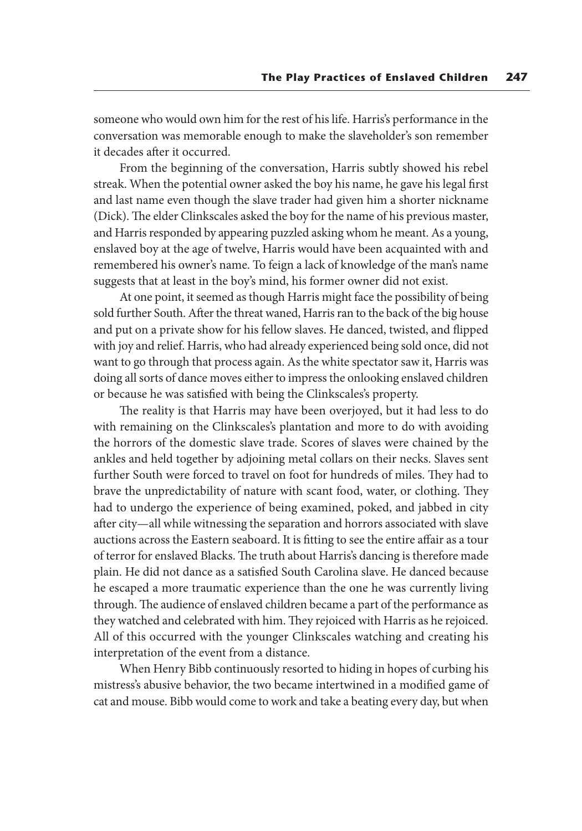someone who would own him for the rest of his life. Harris's performance in the conversation was memorable enough to make the slaveholder's son remember it decades after it occurred.

From the beginning of the conversation, Harris subtly showed his rebel streak. When the potential owner asked the boy his name, he gave his legal first and last name even though the slave trader had given him a shorter nickname (Dick). The elder Clinkscales asked the boy for the name of his previous master, and Harris responded by appearing puzzled asking whom he meant. As a young, enslaved boy at the age of twelve, Harris would have been acquainted with and remembered his owner's name. To feign a lack of knowledge of the man's name suggests that at least in the boy's mind, his former owner did not exist.

At one point, it seemed as though Harris might face the possibility of being sold further South. After the threat waned, Harris ran to the back of the big house and put on a private show for his fellow slaves. He danced, twisted, and flipped with joy and relief. Harris, who had already experienced being sold once, did not want to go through that process again. As the white spectator saw it, Harris was doing all sorts of dance moves either to impress the onlooking enslaved children or because he was satisfied with being the Clinkscales's property.

The reality is that Harris may have been overjoyed, but it had less to do with remaining on the Clinkscales's plantation and more to do with avoiding the horrors of the domestic slave trade. Scores of slaves were chained by the ankles and held together by adjoining metal collars on their necks. Slaves sent further South were forced to travel on foot for hundreds of miles. They had to brave the unpredictability of nature with scant food, water, or clothing. They had to undergo the experience of being examined, poked, and jabbed in city after city—all while witnessing the separation and horrors associated with slave auctions across the Eastern seaboard. It is fitting to see the entire affair as a tour of terror for enslaved Blacks. The truth about Harris's dancing is therefore made plain. He did not dance as a satisfied South Carolina slave. He danced because he escaped a more traumatic experience than the one he was currently living through. The audience of enslaved children became a part of the performance as they watched and celebrated with him. They rejoiced with Harris as he rejoiced. All of this occurred with the younger Clinkscales watching and creating his interpretation of the event from a distance.

When Henry Bibb continuously resorted to hiding in hopes of curbing his mistress's abusive behavior, the two became intertwined in a modified game of cat and mouse. Bibb would come to work and take a beating every day, but when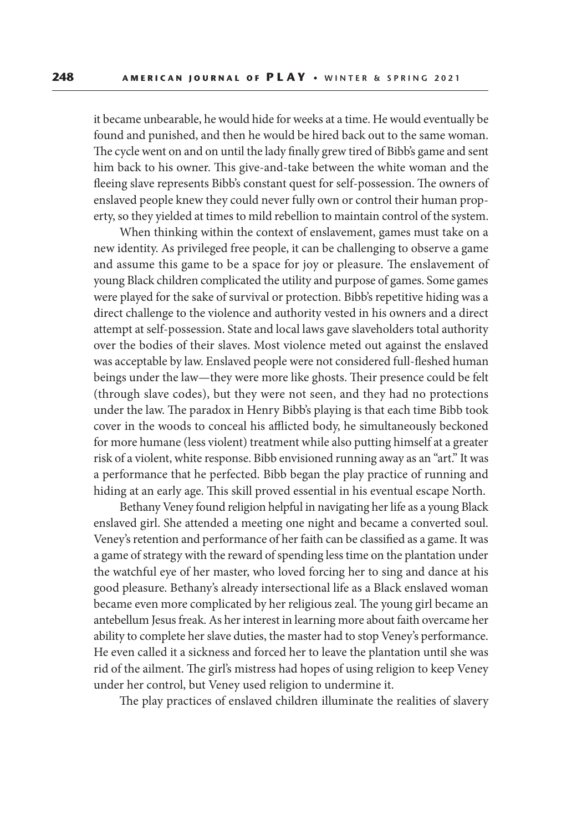it became unbearable, he would hide for weeks at a time. He would eventually be found and punished, and then he would be hired back out to the same woman. The cycle went on and on until the lady finally grew tired of Bibb's game and sent him back to his owner. This give-and-take between the white woman and the fleeing slave represents Bibb's constant quest for self-possession. The owners of enslaved people knew they could never fully own or control their human property, so they yielded at times to mild rebellion to maintain control of the system.

When thinking within the context of enslavement, games must take on a new identity. As privileged free people, it can be challenging to observe a game and assume this game to be a space for joy or pleasure. The enslavement of young Black children complicated the utility and purpose of games. Some games were played for the sake of survival or protection. Bibb's repetitive hiding was a direct challenge to the violence and authority vested in his owners and a direct attempt at self-possession. State and local laws gave slaveholders total authority over the bodies of their slaves. Most violence meted out against the enslaved was acceptable by law. Enslaved people were not considered full-fleshed human beings under the law—they were more like ghosts. Their presence could be felt (through slave codes), but they were not seen, and they had no protections under the law. The paradox in Henry Bibb's playing is that each time Bibb took cover in the woods to conceal his afflicted body, he simultaneously beckoned for more humane (less violent) treatment while also putting himself at a greater risk of a violent, white response. Bibb envisioned running away as an "art." It was a performance that he perfected. Bibb began the play practice of running and hiding at an early age. This skill proved essential in his eventual escape North.

Bethany Veney found religion helpful in navigating her life as a young Black enslaved girl. She attended a meeting one night and became a converted soul. Veney's retention and performance of her faith can be classified as a game. It was a game of strategy with the reward of spending less time on the plantation under the watchful eye of her master, who loved forcing her to sing and dance at his good pleasure. Bethany's already intersectional life as a Black enslaved woman became even more complicated by her religious zeal. The young girl became an antebellum Jesus freak. As her interest in learning more about faith overcame her ability to complete her slave duties, the master had to stop Veney's performance. He even called it a sickness and forced her to leave the plantation until she was rid of the ailment. The girl's mistress had hopes of using religion to keep Veney under her control, but Veney used religion to undermine it.

The play practices of enslaved children illuminate the realities of slavery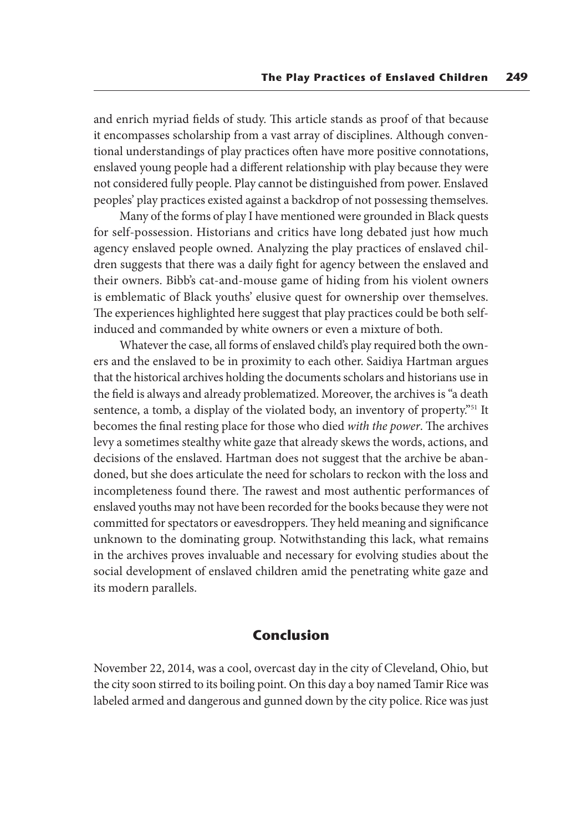and enrich myriad fields of study. This article stands as proof of that because it encompasses scholarship from a vast array of disciplines. Although conventional understandings of play practices often have more positive connotations, enslaved young people had a different relationship with play because they were not considered fully people. Play cannot be distinguished from power. Enslaved peoples' play practices existed against a backdrop of not possessing themselves.

Many of the forms of play I have mentioned were grounded in Black quests for self-possession. Historians and critics have long debated just how much agency enslaved people owned. Analyzing the play practices of enslaved children suggests that there was a daily fight for agency between the enslaved and their owners. Bibb's cat-and-mouse game of hiding from his violent owners is emblematic of Black youths' elusive quest for ownership over themselves. The experiences highlighted here suggest that play practices could be both selfinduced and commanded by white owners or even a mixture of both.

Whatever the case, all forms of enslaved child's play required both the owners and the enslaved to be in proximity to each other. Saidiya Hartman argues that the historical archives holding the documents scholars and historians use in the field is always and already problematized. Moreover, the archives is "a death sentence, a tomb, a display of the violated body, an inventory of property."<sup>51</sup> It becomes the final resting place for those who died *with the power*. The archives levy a sometimes stealthy white gaze that already skews the words, actions, and decisions of the enslaved. Hartman does not suggest that the archive be abandoned, but she does articulate the need for scholars to reckon with the loss and incompleteness found there. The rawest and most authentic performances of enslaved youths may not have been recorded for the books because they were not committed for spectators or eavesdroppers. They held meaning and significance unknown to the dominating group. Notwithstanding this lack, what remains in the archives proves invaluable and necessary for evolving studies about the social development of enslaved children amid the penetrating white gaze and its modern parallels.

#### **Conclusion**

November 22, 2014, was a cool, overcast day in the city of Cleveland, Ohio, but the city soon stirred to its boiling point. On this day a boy named Tamir Rice was labeled armed and dangerous and gunned down by the city police. Rice was just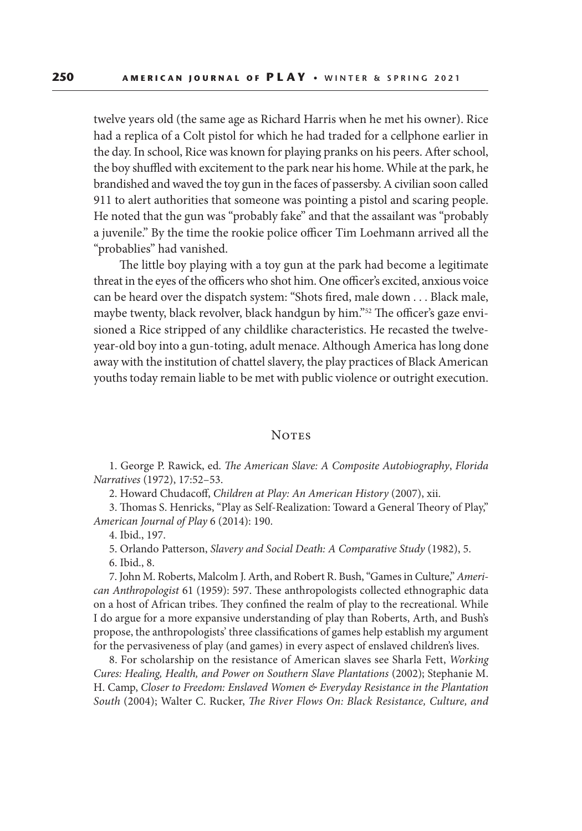twelve years old (the same age as Richard Harris when he met his owner). Rice had a replica of a Colt pistol for which he had traded for a cellphone earlier in the day. In school, Rice was known for playing pranks on his peers. After school, the boy shuffled with excitement to the park near his home. While at the park, he brandished and waved the toy gun in the faces of passersby. A civilian soon called 911 to alert authorities that someone was pointing a pistol and scaring people. He noted that the gun was "probably fake" and that the assailant was "probably a juvenile." By the time the rookie police officer Tim Loehmann arrived all the "probablies" had vanished.

The little boy playing with a toy gun at the park had become a legitimate threat in the eyes of the officers who shot him. One officer's excited, anxious voice can be heard over the dispatch system: "Shots fired, male down . . . Black male, maybe twenty, black revolver, black handgun by him."<sup>52</sup> The officer's gaze envisioned a Rice stripped of any childlike characteristics. He recasted the twelveyear-old boy into a gun-toting, adult menace. Although America has long done away with the institution of chattel slavery, the play practices of Black American youths today remain liable to be met with public violence or outright execution.

#### **NOTES**

1. George P. Rawick, ed. *The American Slave: A Composite Autobiography*, *Florida Narratives* (1972), 17:52–53.

2. Howard Chudacoff, *Children at Play: An American History* (2007), xii.

3. Thomas S. Henricks, "Play as Self-Realization: Toward a General Theory of Play," *American Journal of Play* 6 (2014): 190.

4. Ibid., 197.

5. Orlando Patterson, *Slavery and Social Death: A Comparative Study* (1982), 5.

6. Ibid., 8.

7. John M. Roberts, Malcolm J. Arth, and Robert R. Bush, "Games in Culture," *American Anthropologist* 61 (1959): 597. These anthropologists collected ethnographic data on a host of African tribes. They confined the realm of play to the recreational. While I do argue for a more expansive understanding of play than Roberts, Arth, and Bush's propose, the anthropologists' three classifications of games help establish my argument for the pervasiveness of play (and games) in every aspect of enslaved children's lives.

8. For scholarship on the resistance of American slaves see Sharla Fett, *Working Cures: Healing, Health, and Power on Southern Slave Plantations* (2002); Stephanie M. H. Camp, *Closer to Freedom: Enslaved Women & Everyday Resistance in the Plantation South* (2004); Walter C. Rucker, *The River Flows On: Black Resistance, Culture, and*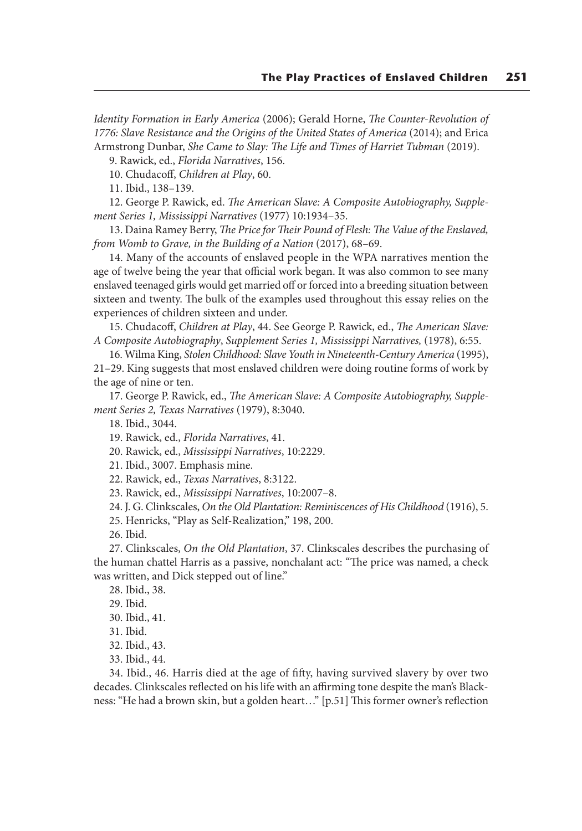*Identity Formation in Early America* (2006); Gerald Horne, *The Counter-Revolution of 1776: Slave Resistance and the Origins of the United States of America* (2014); and Erica Armstrong Dunbar, *She Came to Slay: The Life and Times of Harriet Tubman* (2019).

9. Rawick, ed., *Florida Narratives*, 156.

10. Chudacoff, *Children at Play*, 60.

11. Ibid., 138–139.

12. George P. Rawick, ed. *The American Slave: A Composite Autobiography, Supplement Series 1, Mississippi Narratives* (1977) 10:1934–35.

13. Daina Ramey Berry, *The Price for Their Pound of Flesh: The Value of the Enslaved, from Womb to Grave, in the Building of a Nation* (2017), 68–69.

14. Many of the accounts of enslaved people in the WPA narratives mention the age of twelve being the year that official work began. It was also common to see many enslaved teenaged girls would get married off or forced into a breeding situation between sixteen and twenty. The bulk of the examples used throughout this essay relies on the experiences of children sixteen and under.

15. Chudacoff, *Children at Play*, 44. See George P. Rawick, ed., *The American Slave: A Composite Autobiography*, *Supplement Series 1, Mississippi Narratives,* (1978), 6:55.

16. Wilma King, *Stolen Childhood: Slave Youth in Nineteenth-Century America* (1995),

21–29. King suggests that most enslaved children were doing routine forms of work by the age of nine or ten.

17. George P. Rawick, ed., *The American Slave: A Composite Autobiography, Supplement Series 2, Texas Narratives* (1979), 8:3040.

18. Ibid., 3044.

19. Rawick, ed., *Florida Narratives*, 41.

20. Rawick, ed., *Mississippi Narratives*, 10:2229.

21. Ibid., 3007. Emphasis mine.

22. Rawick, ed., *Texas Narratives*, 8:3122.

23. Rawick, ed., *Mississippi Narratives*, 10:2007–8.

24. J. G. Clinkscales, *On the Old Plantation: Reminiscences of His Childhood* (1916), 5.

25. Henricks, "Play as Self-Realization," 198, 200.

26. Ibid.

27. Clinkscales, *On the Old Plantation*, 37. Clinkscales describes the purchasing of the human chattel Harris as a passive, nonchalant act: "The price was named, a check was written, and Dick stepped out of line."

28. Ibid., 38.

29. Ibid.

30. Ibid., 41.

31. Ibid.

32. Ibid., 43.

33. Ibid., 44.

34. Ibid., 46. Harris died at the age of fifty, having survived slavery by over two decades. Clinkscales reflected on his life with an affirming tone despite the man's Blackness: "He had a brown skin, but a golden heart…" [p.51] This former owner's reflection